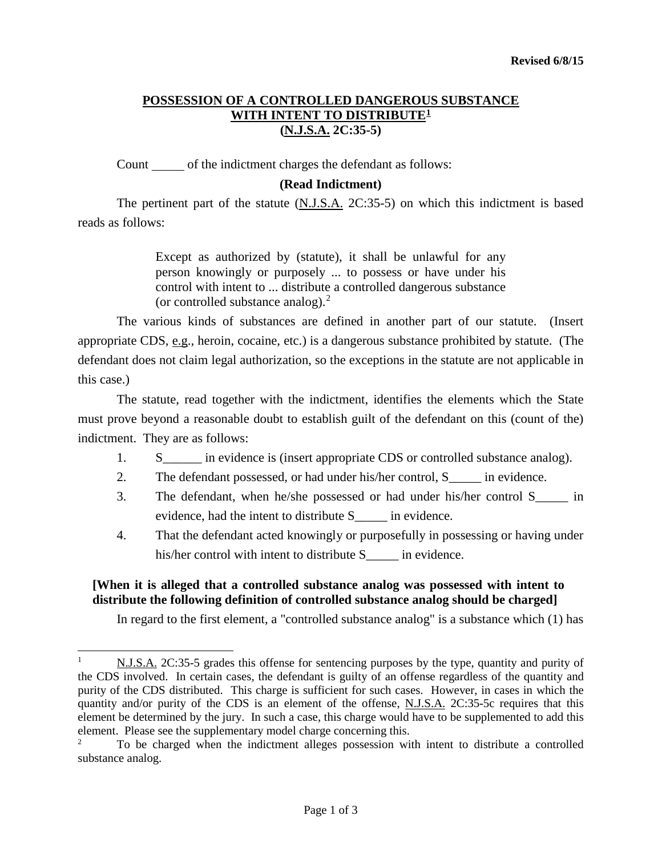# **POSSESSION OF A CONTROLLED DANGEROUS SUBSTANCE** WITH INTENT TO DISTRIBUTE<sup>1</sup> **(N.J.S.A. 2C:35-5)**

Count of the indictment charges the defendant as follows:

## **(Read Indictment)**

The pertinent part of the statute (N.J.S.A. 2C:35-5) on which this indictment is based reads as follows:

> Except as authorized by (statute), it shall be unlawful for any person knowingly or purposely ... to possess or have under his control with intent to ... distribute a controlled dangerous substance (or controlled substance analog). $<sup>2</sup>$  $<sup>2</sup>$  $<sup>2</sup>$ </sup>

The various kinds of substances are defined in another part of our statute. (Insert appropriate CDS, e.g., heroin, cocaine, etc.) is a dangerous substance prohibited by statute. (The defendant does not claim legal authorization, so the exceptions in the statute are not applicable in this case.)

The statute, read together with the indictment, identifies the elements which the State must prove beyond a reasonable doubt to establish guilt of the defendant on this (count of the) indictment. They are as follows:

- 1. S<sub>in</sub> evidence is (insert appropriate CDS or controlled substance analog).
- 2. The defendant possessed, or had under his/her control, S\_\_\_\_\_ in evidence.
- 3. The defendant, when he/she possessed or had under his/her control S\_\_\_\_\_ in evidence, had the intent to distribute S\_\_\_\_\_ in evidence.
- 4. That the defendant acted knowingly or purposefully in possessing or having under his/her control with intent to distribute S \_\_\_\_\_ in evidence.

## **[When it is alleged that a controlled substance analog was possessed with intent to distribute the following definition of controlled substance analog should be charged]**

 $\overline{a}$ 

In regard to the first element, a "controlled substance analog" is a substance which (1) has

<span id="page-0-0"></span><sup>&</sup>lt;sup>1</sup> N.J.S.A. 2C:35-5 grades this offense for sentencing purposes by the type, quantity and purity of the CDS involved. In certain cases, the defendant is guilty of an offense regardless of the quantity and purity of the CDS distributed. This charge is sufficient for such cases. However, in cases in which the quantity and/or purity of the CDS is an element of the offense, N.J.S.A. 2C:35-5c requires that this element be determined by the jury. In such a case, this charge would have to be supplemented to add this element. Please see the supplementary model charge concerning this.

<span id="page-0-1"></span><sup>2</sup> To be charged when the indictment alleges possession with intent to distribute a controlled substance analog.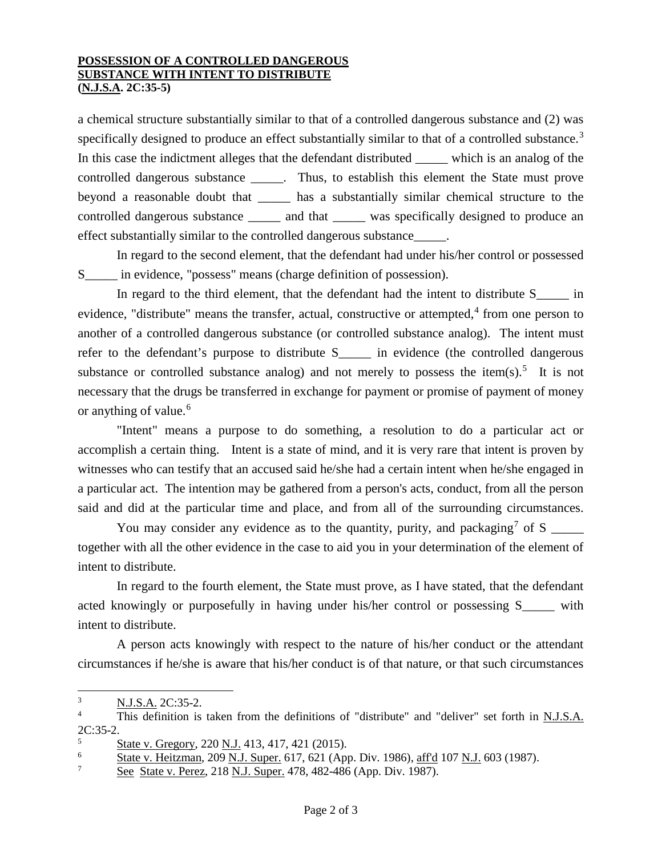#### **POSSESSION OF A CONTROLLED DANGEROUS SUBSTANCE WITH INTENT TO DISTRIBUTE (N.J.S.A. 2C:35-5)**

a chemical structure substantially similar to that of a controlled dangerous substance and (2) was specifically designed to produce an effect substantially similar to that of a controlled substance.<sup>[3](#page-1-0)</sup> In this case the indictment alleges that the defendant distributed \_\_\_\_\_ which is an analog of the controlled dangerous substance \_\_\_\_\_. Thus, to establish this element the State must prove beyond a reasonable doubt that \_\_\_\_\_ has a substantially similar chemical structure to the controlled dangerous substance \_\_\_\_\_ and that \_\_\_\_\_ was specifically designed to produce an effect substantially similar to the controlled dangerous substance\_\_\_\_\_.

In regard to the second element, that the defendant had under his/her control or possessed S<sub>im</sub> evidence, "possess" means (charge definition of possession).

In regard to the third element, that the defendant had the intent to distribute S  $\qquad \qquad$  in evidence, "distribute" means the transfer, actual, constructive or attempted, $4$  from one person to another of a controlled dangerous substance (or controlled substance analog). The intent must refer to the defendant's purpose to distribute S<sub>pre-</sub> in evidence (the controlled dangerous substance or controlled substance analog) and not merely to possess the item(s).<sup>[5](#page-1-2)</sup> It is not necessary that the drugs be transferred in exchange for payment or promise of payment of money or anything of value.<sup>[6](#page-1-3)</sup>

"Intent" means a purpose to do something, a resolution to do a particular act or accomplish a certain thing. Intent is a state of mind, and it is very rare that intent is proven by witnesses who can testify that an accused said he/she had a certain intent when he/she engaged in a particular act. The intention may be gathered from a person's acts, conduct, from all the person said and did at the particular time and place, and from all of the surrounding circumstances.

You may consider any evidence as to the quantity, purity, and packaging<sup>[7](#page-1-4)</sup> of S  $\frac{1}{\sqrt{2\pi}}$ together with all the other evidence in the case to aid you in your determination of the element of intent to distribute.

In regard to the fourth element, the State must prove, as I have stated, that the defendant acted knowingly or purposefully in having under his/her control or possessing S\_\_\_\_\_ with intent to distribute.

A person acts knowingly with respect to the nature of his/her conduct or the attendant circumstances if he/she is aware that his/her conduct is of that nature, or that such circumstances

<span id="page-1-0"></span> $\frac{3}{4}$  N.J.S.A. 2C:35-2.  $\overline{3}$ 

<span id="page-1-1"></span>This definition is taken from the definitions of "distribute" and "deliver" set forth in N.J.S.A. 2C:35-2.

<span id="page-1-2"></span> $\frac{5}{6}$  State v. Gregory, 220 N.J. 413, 417, 421 (2015).

<span id="page-1-3"></span><sup>&</sup>lt;sup>6</sup> State v. Heitzman, 209 N.J. Super. 617, 621 (App. Div. 1986), <u>aff'd</u> 107 N.J. 603 (1987).

<span id="page-1-4"></span>See State v. Perez, 218 N.J. Super. 478, 482-486 (App. Div. 1987).